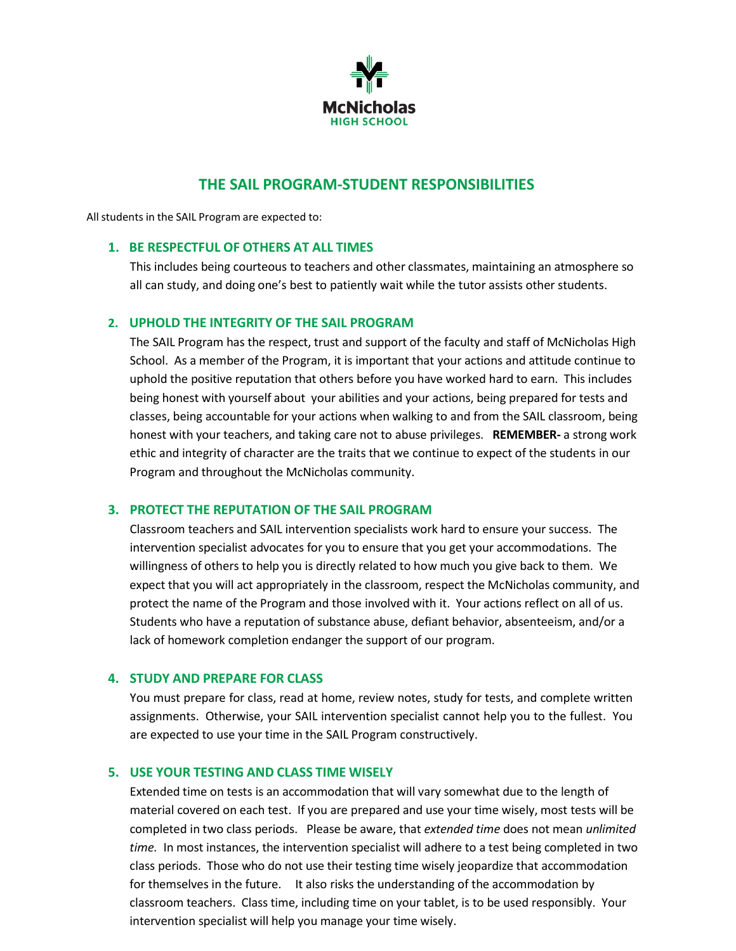

# **THE SAIL PROGRAM-STUDENT RESPONSIBILITIES**

Allstudents in the SAIL Program are expected to:

# **1. BE RESPECTFUL OF OTHERS AT ALL TIMES**

This includes being courteous to teachers and other classmates, maintaining an atmosphere so all can study, and doing one's best to patiently wait while the tutor assists other students.

## **2. UPHOLD THE INTEGRITY OF THE SAIL PROGRAM**

The SAIL Program has the respect, trust and support of the faculty and staff of McNicholas High School. As a member of the Program, it is important that your actions and attitude continue to uphold the positive reputation that others before you have worked hard to earn. This includes being honest with yourself about your abilities and your actions, being prepared for tests and classes, being accountable for your actions when walking to and from the SAIL classroom, being honest with your teachers, and taking care not to abuse privileges. **REMEMBER-** a strong work ethic and integrity of character are the traits that we continue to expect of the students in our Program and throughout the McNicholas community.

## **3. PROTECT THE REPUTATION OF THE SAIL PROGRAM**

Classroom teachers and SAIL intervention specialists work hard to ensure your success. The intervention specialist advocates for you to ensure that you get your accommodations. The willingness of others to help you is directly related to how much you give back to them. We expect that you will act appropriately in the classroom, respect the McNicholas community, and protect the name of the Program and those involved with it. Your actions reflect on all of us. Students who have a reputation of substance abuse, defiant behavior, absenteeism, and/or a lack of homework completion endanger the support of our program.

## **4. STUDY AND PREPARE FOR CLASS**

You must prepare for class, read at home, review notes, study for tests, and complete written assignments. Otherwise, your SAIL intervention specialist cannot help you to the fullest. You are expected to use your time in the SAIL Program constructively.

## **5. USE YOUR TESTING AND CLASS TIME WISELY**

Extended time on tests is an accommodation that will vary somewhat due to the length of material covered on each test. If you are prepared and use your time wisely, most tests will be completed in two class periods. Please be aware, that *extended time* does not mean *unlimited time.* In most instances, the intervention specialist will adhere to a test being completed in two class periods. Those who do not use their testing time wisely jeopardize that accommodation for themselves in the future. It also risks the understanding of the accommodation by classroom teachers. Class time, including time on your tablet, is to be used responsibly. Your intervention specialist will help you manage your time wisely.